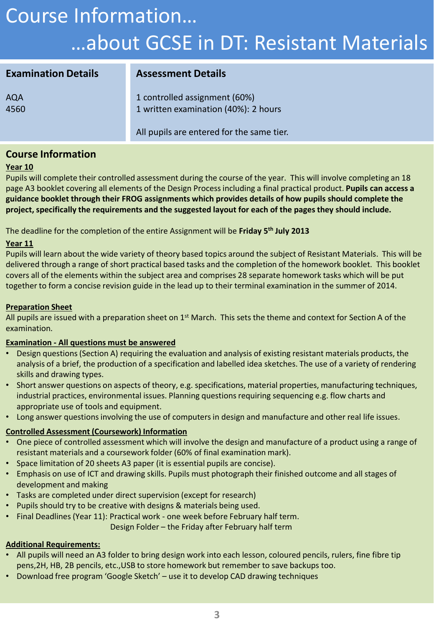# Course Information… …about GCSE in DT: Resistant Materials

| <b>Examination Details</b> | <b>Assessment Details</b>                                             |
|----------------------------|-----------------------------------------------------------------------|
| AQA<br>4560                | 1 controlled assignment (60%)<br>1 written examination (40%): 2 hours |
|                            | All pupils are entered for the same tier.                             |

### **Course Information**

#### **Year 10**

Pupils will complete their controlled assessment during the course of the year. This will involve completing an 18 page A3 booklet covering all elements of the Design Process including a final practical product. **Pupils can access a guidance booklet through their FROG assignments which provides details of how pupils should complete the project, specifically the requirements and the suggested layout for each of the pages they should include.**

The deadline for the completion of the entire Assignment will be **Friday 5th July 2013**

#### **Year 11**

Pupils will learn about the wide variety of theory based topics around the subject of Resistant Materials. This will be delivered through a range of short practical based tasks and the completion of the homework booklet. This booklet covers all of the elements within the subject area and comprises 28 separate homework tasks which will be put together to form a concise revision guide in the lead up to their terminal examination in the summer of 2014.

#### **Preparation Sheet**

All pupils are issued with a preparation sheet on  $1<sup>st</sup>$  March. This sets the theme and context for Section A of the examination.

#### **Examination - All questions must be answered**

- Design questions (Section A) requiring the evaluation and analysis of existing resistant materials products, the analysis of a brief, the production of a specification and labelled idea sketches. The use of a variety of rendering skills and drawing types.
- Short answer questions on aspects of theory, e.g. specifications, material properties, manufacturing techniques, industrial practices, environmental issues. Planning questions requiring sequencing e.g. flow charts and appropriate use of tools and equipment.
- Long answer questions involving the use of computers in design and manufacture and other real life issues.

#### **Controlled Assessment (Coursework) Information**

- One piece of controlled assessment which will involve the design and manufacture of a product using a range of resistant materials and a coursework folder (60% of final examination mark).
- Space limitation of 20 sheets A3 paper (it is essential pupils are concise).
- Emphasis on use of ICT and drawing skills. Pupils must photograph their finished outcome and all stages of development and making
- Tasks are completed under direct supervision (except for research)
- Pupils should try to be creative with designs & materials being used.
- Final Deadlines (Year 11): Practical work one week before February half term.

Design Folder – the Friday after February half term

#### **Additional Requirements:**

- All pupils will need an A3 folder to bring design work into each lesson, coloured pencils, rulers, fine fibre tip pens,2H, HB, 2B pencils, etc.,USB to store homework but remember to save backups too.
- Download free program 'Google Sketch' use it to develop CAD drawing techniques